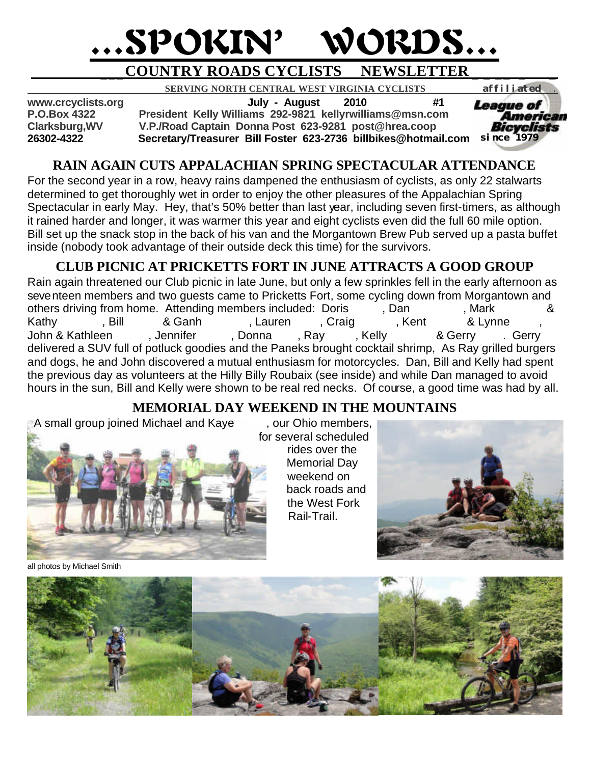# …SPOKIN' WORDS…

## **\_\_\_COUNTRY ROADS CYCLISTS NEWSLETTER \_ \_ \_\_ \_ \_**

 **SERVING NORTH CENTRAL WEST VIRGINIA CYCLISTS** *affiliated .* 

**www.crcyclists.org July - August 2010 #1**

**P.O.Box 4322 President Kelly Williams 292-9821 kellyrwilliams@msn.com**

**Clarksburg,WV V.P./Road Captain Donna Post 623-9281 post@hrea.coop**

**26302-4322 Secretary/Treasurer Bill Foster 623-2736 billbikes@hotmail.com**  *since 1979*

## **RAIN AGAIN CUTS APPALACHIAN SPRING SPECTACULAR ATTENDANCE**

For the second year in a row, heavy rains dampened the enthusiasm of cyclists, as only 22 stalwarts determined to get thoroughly wet in order to enjoy the other pleasures of the Appalachian Spring Spectacular in early May. Hey, that's 50% better than last year, including seven first-timers, as although it rained harder and longer, it was warmer this year and eight cyclists even did the full 60 mile option. Bill set up the snack stop in the back of his van and the Morgantown Brew Pub served up a pasta buffet inside (nobody took advantage of their outside deck this time) for the survivors.

## **CLUB PICNIC AT PRICKETTS FORT IN JUNE ATTRACTS A GOOD GROUP**

Rain again threatened our Club picnic in late June, but only a few sprinkles fell in the early afternoon as seventeen members and two guests came to Pricketts Fort, some cycling down from Morgantown and others driving from home. Attending members included: Doris (and the mark of the setting from home of the cas<br>Bill and Casten March, Craig (berns, Mark Crabtree & Lynne the crabtree of the craig of the crabtree of the cr Kathy Fill & Ganh Sull Referred, Craig Alent & Lynne Ryanne, Kent Parker & Lynne Ryan, Lauren Ryan, Craig Ryan, John & Kathleen Jennifer Preville, Donna Previll, Ray Previll, Kelly Williams & Gerry Rerry delivered a SUV full of potluck goodies and the Paneks brought cocktail shrimp, As Ray grilled burgers and dogs, he and John discovered a mutual enthusiasm for motorcycles. Dan, Bill and Kelly had spent the previous day as volunteers at the Hilly Billy Roubaix (see inside) and while Dan managed to avoid hours in the sun, Bill and Kelly were shown to be real red necks. Of course, a good time was had by all.

## **MEMORIAL DAY WEEKEND IN THE MOUNTAINS**

A small group joined Michael and Kaye same our Ohio members,



all photos by Michael Smith

 for several scheduled rides over the Memorial Day weekend on back roads and the West Fork Rail-Trail.





*League of* American Bicyclists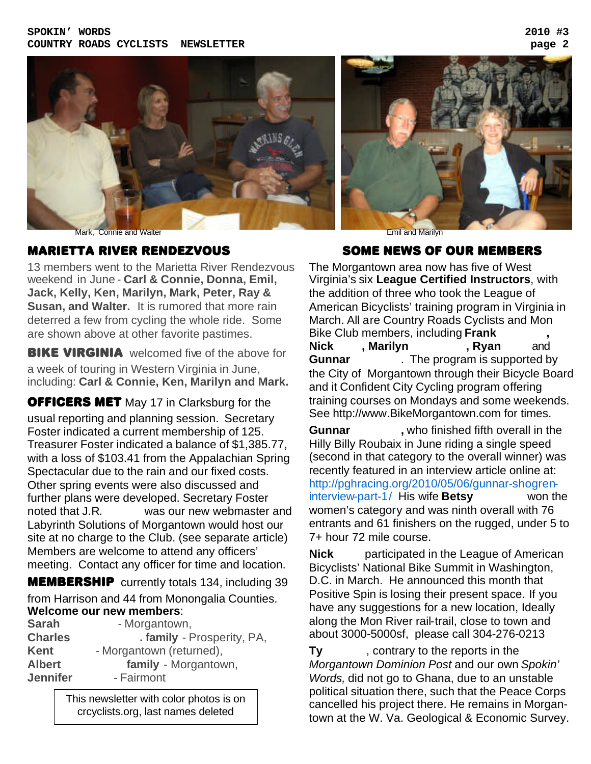

#### MARIETTA RIVER RENDEZVOUS

13 members went to the Marietta River Rendezvous weekend in June - **Carl & Connie, Donna, Emil, Jack, Kelly, Ken, Marilyn, Mark, Peter, Ray & Susan, and Walter.** It is rumored that more rain deterred a few from cycling the whole ride. Some are shown above at other favorite pastimes.

**BIKE VIRGINIA** welcomed five of the above for a week of touring in Western Virginia in June, including: **Carl & Connie, Ken, Marilyn and Mark.**

**OFFICERS MET** May 17 in Clarksburg for the usual reporting and planning session. Secretary Foster indicated a current membership of 125. Treasurer Foster indicated a balance of \$1,385.77, with a loss of \$103.41 from the Appalachian Spring Spectacular due to the rain and our fixed costs. Other spring events were also discussed and further plans were developed. Secretary Foster noted that J.R. was our new webmaster and Labyrinth Solutions of Morgantown would host our site at no charge to the Club. (see separate article) Members are welcome to attend any officers' meeting. Contact any officer for time and location.

**MEMBERSHIP** currently totals 134, including 39 from Harrison and 44 from Monongalia Counties. **Welcome our new members**:

| - Morgantown,              |
|----------------------------|
| . family - Prosperity, PA, |
| - Morgantown (returned),   |
| family - Morgantown,       |
| - Fairmont                 |
|                            |

This newsletter with color photos is on crcyclists.org, last names deleted

#### SOME NEWS OF OUR MEMBERS

The Morgantown area now has five of West Virginia's six **League Certified Instructors**, with the addition of three who took the League of American Bicyclists' training program in Virginia in March. All are Country Roads Cyclists and Mon Bike Club members, including **Frank Nick**, Marilyn **Ryan** and **Gunnar** The program is supported by the City of Morgantown through their Bicycle Board and it Confident City Cycling program offering training courses on Mondays and some weekends. See http://www.BikeMorgantown.com for times.

**Gunnar** , who finished fifth overall in the Hilly Billy Roubaix in June riding a single speed (second in that category to the overall winner) was recently featured in an interview article online at: http://pghracing.org/2010/05/06/gunnar-shogreninterview-part-1/ His wife **Betsy** won the women's category and was ninth overall with 76 entrants and 61 finishers on the rugged, under 5 to 7+ hour 72 mile course.

**Nick** participated in the League of American Bicyclists' National Bike Summit in Washington, D.C. in March. He announced this month that Positive Spin is losing their present space. If you have any suggestions for a new location, Ideally along the Mon River rail-trail, close to town and about 3000-5000sf, please call 304-276-0213

**Ty** contrary to the reports in the *Morgantown Dominion Post* and our own *Spokin' Words,* did not go to Ghana, due to an unstable political situation there, such that the Peace Corps cancelled his project there. He remains in Morgantown at the W. Va. Geological & Economic Survey.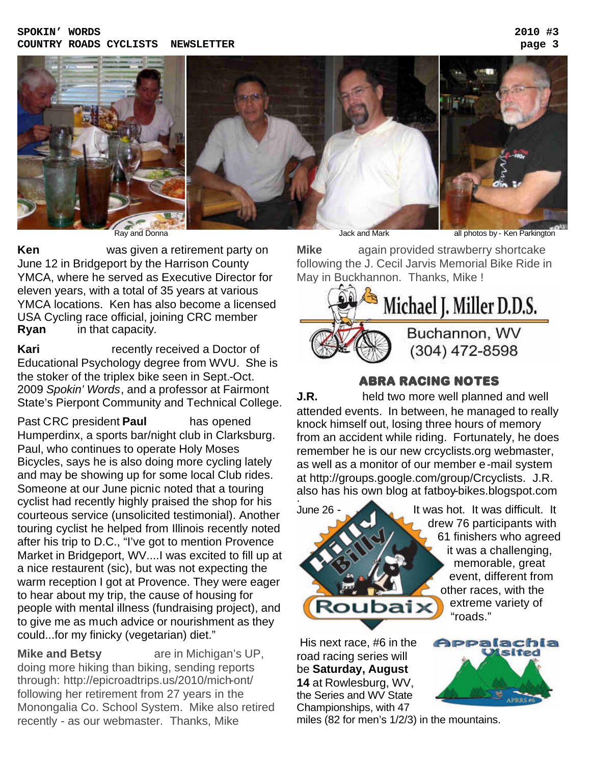#### **SPOKIN' WORDS 2010 #3 COUNTRY ROADS CYCLISTS NEWSLETTER page 3**



**Ken Parkington** was given a retirement party on June 12 in Bridgeport by the Harrison County YMCA, where he served as Executive Director for eleven years, with a total of 35 years at various YMCA locations. Ken has also become a licensed USA Cycling race official, joining CRC member **Ryan** in that capacity.

**Kari Confidence** recently received a Doctor of Educational Psychology degree from WVU. She is the stoker of the triplex bike seen in Sept.-Oct. 2009 *Spokin' Words*, and a professor at Fairmont State's Pierpont Community and Technical College.

Past CRC president **Paul** has opened Humperdinx, a sports bar/night club in Clarksburg. Paul, who continues to operate Holy Moses Bicycles, says he is also doing more cycling lately and may be showing up for some local Club rides. Someone at our June picnic noted that a touring cyclist had recently highly praised the shop for his courteous service (unsolicited testimonial). Another touring cyclist he helped from Illinois recently noted after his trip to D.C., "I've got to mention Provence Market in Bridgeport, WV....I was excited to fill up at a nice restaurent (sic), but was not expecting the warm reception I got at Provence. They were eager to hear about my trip, the cause of housing for people with mental illness (fundraising project), and to give me as much advice or nourishment as they could...for my finicky (vegetarian) diet."

**Mike and Betsy** are in Michigan's UP, doing more hiking than biking, sending reports through: http://epicroadtrips.us/2010/mich-ont/ following her retirement from 27 years in the Monongalia Co. School System. Mike also retired recently - as our webmaster. Thanks, Mike

**Mike** again provided strawberry shortcake following the J. Cecil Jarvis Memorial Bike Ride in May in Buckhannon. Thanks, Mike !



### ABRA RACING NOTES

**J.R. Petagorian** held two more well planned and well attended events. In between, he managed to really knock himself out, losing three hours of memory from an accident while riding. Fortunately, he does remember he is our new crcyclists.org webmaster, as well as a monitor of our member e-mail system at http://groups.google.com/group/Crcyclists. J.R. also has his own blog at fatboy-bikes.blogspot.com .



 drew 76 participants with 61 finishers who agreed it was a challenging, memorable, great event, different from other races, with the "roads."

 His next race, #6 in the road racing series will be **Saturday, August 14** at Rowlesburg, WV, the Series and WV State Championships, with 47



miles (82 for men's 1/2/3) in the mountains.